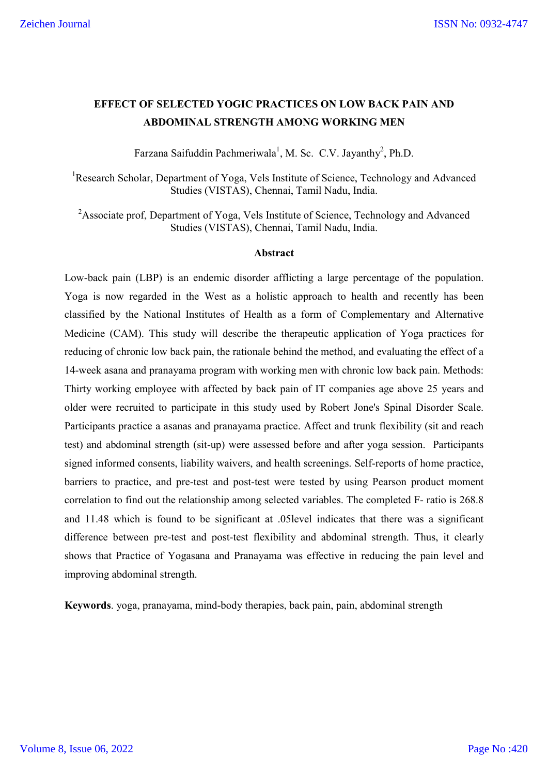# **EFFECT OF SELECTED YOGIC PRACTICES ON LOW BACK PAIN AND ABDOMINAL STRENGTH AMONG WORKING MEN**

Farzana Saifuddin Pachmeriwala<sup>1</sup>, M. Sc. C.V. Jayanthy<sup>2</sup>, Ph.D.

<sup>1</sup>Research Scholar, Department of Yoga, Vels Institute of Science, Technology and Advanced Studies (VISTAS), Chennai, Tamil Nadu, India.

<sup>2</sup>Associate prof, Department of Yoga, Vels Institute of Science, Technology and Advanced Studies (VISTAS), Chennai, Tamil Nadu, India.

#### **Abstract**

Low-back pain (LBP) is an endemic disorder afflicting a large percentage of the population. Yoga is now regarded in the West as a holistic approach to health and recently has been classified by the National Institutes of Health as a form of Complementary and Alternative Medicine (CAM). This study will describe the therapeutic application of Yoga practices for reducing of chronic low back pain, the rationale behind the method, and evaluating the effect of a 14-week asana and pranayama program with working men with chronic low back pain. Methods: Thirty working employee with affected by back pain of IT companies age above 25 years and older were recruited to participate in this study used by Robert Jone's Spinal Disorder Scale. Participants practice a asanas and pranayama practice. Affect and trunk flexibility (sit and reach test) and abdominal strength (sit-up) were assessed before and after yoga session. Participants signed informed consents, liability waivers, and health screenings. Self-reports of home practice, barriers to practice, and pre-test and post-test were tested by using Pearson product moment correlation to find out the relationship among selected variables. The completed F- ratio is 268.8 and 11.48 which is found to be significant at .05level indicates that there was a significant difference between pre-test and post-test flexibility and abdominal strength. Thus, it clearly shows that Practice of Yogasana and Pranayama was effective in reducing the pain level and improving abdominal strength.

**Keywords**. yoga, pranayama, mind-body therapies, back pain, pain, abdominal strength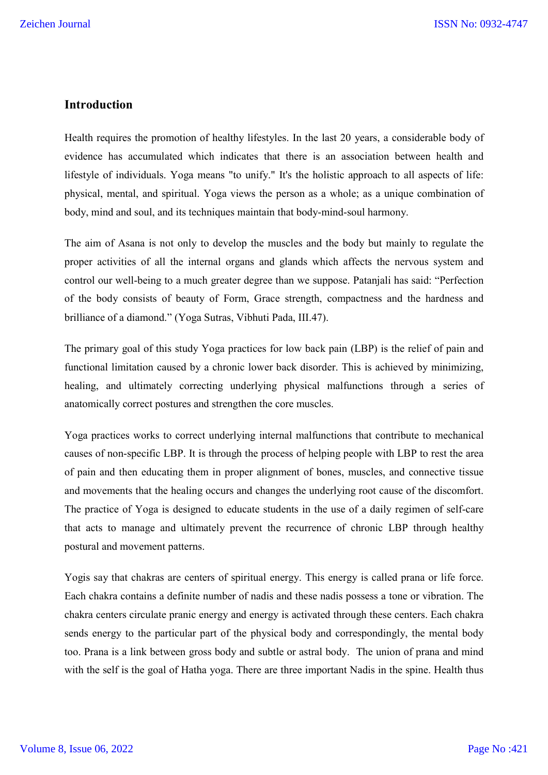# **Introduction**

Health requires the promotion of healthy lifestyles. In the last 20 years, a considerable body of evidence has accumulated which indicates that there is an association between health and lifestyle of individuals. Yoga means "to unify." It's the holistic approach to all aspects of life: physical, mental, and spiritual. Yoga views the person as a whole; as a unique combination of body, mind and soul, and its techniques maintain that body-mind-soul harmony.

The aim of Asana is not only to develop the muscles and the body but mainly to regulate the proper activities of all the internal organs and glands which affects the nervous system and control our well-being to a much greater degree than we suppose. Patanjali has said: "Perfection of the body consists of beauty of Form, Grace strength, compactness and the hardness and brilliance of a diamond." (Yoga Sutras, Vibhuti Pada, III.47).

The primary goal of this study Yoga practices for low back pain (LBP) is the relief of pain and functional limitation caused by a chronic lower back disorder. This is achieved by minimizing, healing, and ultimately correcting underlying physical malfunctions through a series of anatomically correct postures and strengthen the core muscles.

Yoga practices works to correct underlying internal malfunctions that contribute to mechanical causes of non-specific LBP. It is through the process of helping people with LBP to rest the area of pain and then educating them in proper alignment of bones, muscles, and connective tissue and movements that the healing occurs and changes the underlying root cause of the discomfort. The practice of Yoga is designed to educate students in the use of a daily regimen of self-care that acts to manage and ultimately prevent the recurrence of chronic LBP through healthy postural and movement patterns.

Yogis say that chakras are centers of spiritual energy. This energy is called prana or life force. Each chakra contains a definite number of nadis and these nadis possess a tone or vibration. The chakra centers circulate pranic energy and energy is activated through these centers. Each chakra sends energy to the particular part of the physical body and correspondingly, the mental body too. Prana is a link between gross body and subtle or astral body. The union of prana and mind with the self is the goal of Hatha yoga. There are three important Nadis in the spine. Health thus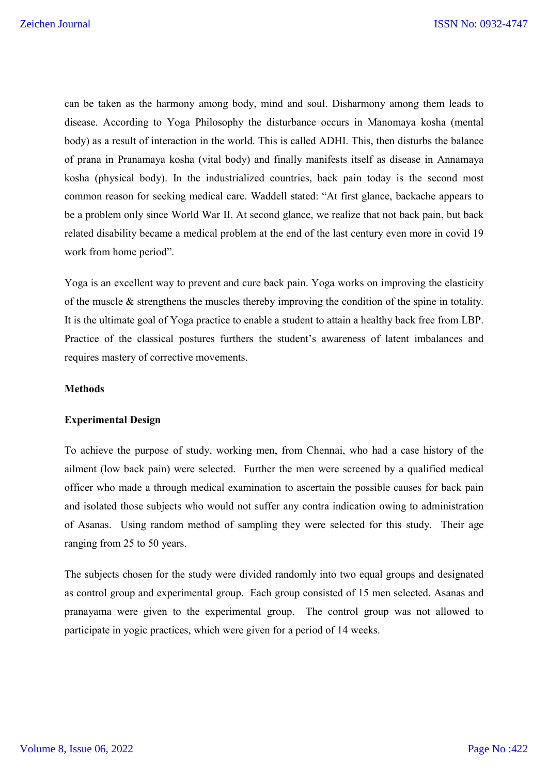can be taken as the harmony among body, mind and soul. Disharmony among them leads to disease. According to Yoga Philosophy the disturbance occurs in Manomaya kosha (mental body) as a result of interaction in the world. This is called ADHI. This, then disturbs the balance of prana in Pranamaya kosha (vital body) and finally manifests itself as disease in Annamaya kosha (physical body). In the industrialized countries, back pain today is the second most common reason for seeking medical care. Waddell stated: "At first glance, backache appears to be a problem only since World War II. At second glance, we realize that not back pain, but back related disability became a medical problem at the end of the last century even more in covid 19 work from home period".

Yoga is an excellent way to prevent and cure back pain. Yoga works on improving the elasticity of the muscle & strengthens the muscles thereby improving the condition of the spine in totality. It is the ultimate goal of Yoga practice to enable a student to attain a healthy back free from LBP. Practice of the classical postures furthers the student's awareness of latent imbalances and requires mastery of corrective movements.

### **Methods**

### **Experimental Design**

To achieve the purpose of study, working men, from Chennai, who had a case history of the ailment (low back pain) were selected. Further the men were screened by a qualified medical officer who made a through medical examination to ascertain the possible causes for back pain and isolated those subjects who would not suffer any contra indication owing to administration of Asanas. Using random method of sampling they were selected for this study. Their age ranging from 25 to 50 years.

The subjects chosen for the study were divided randomly into two equal groups and designated as control group and experimental group. Each group consisted of 15 men selected. Asanas and pranayama were given to the experimental group. The control group was not allowed to participate in yogic practices, which were given for a period of 14 weeks.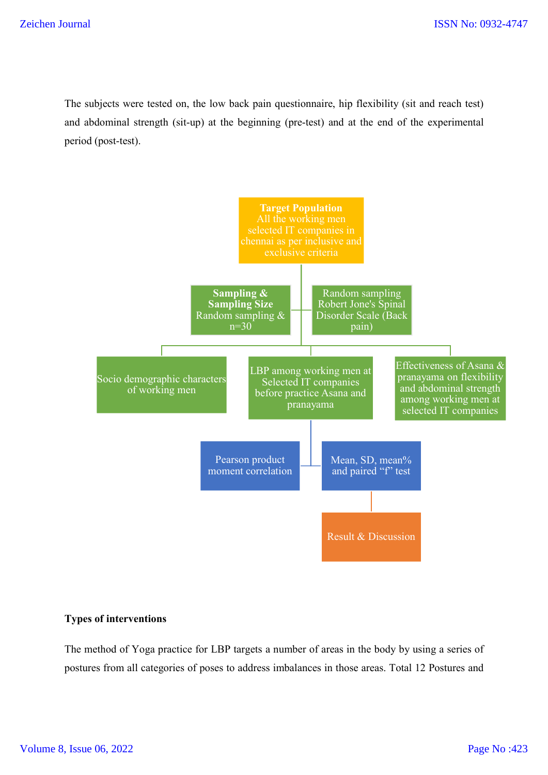The subjects were tested on, the low back pain questionnaire, hip flexibility (sit and reach test) and abdominal strength (sit-up) at the beginning (pre-test) and at the end of the experimental period (post-test).



## **Types of interventions**

The method of Yoga practice for LBP targets a number of areas in the body by using a series of postures from all categories of poses to address imbalances in those areas. Total 12 Postures and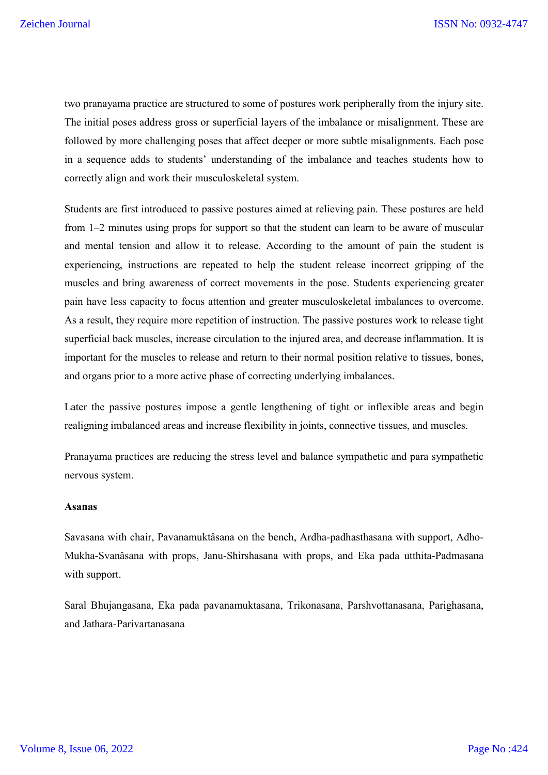two pranayama practice are structured to some of postures work peripherally from the injury site. The initial poses address gross or superficial layers of the imbalance or misalignment. These are followed by more challenging poses that affect deeper or more subtle misalignments. Each pose in a sequence adds to students' understanding of the imbalance and teaches students how to correctly align and work their musculoskeletal system.

Students are first introduced to passive postures aimed at relieving pain. These postures are held from 1–2 minutes using props for support so that the student can learn to be aware of muscular and mental tension and allow it to release. According to the amount of pain the student is experiencing, instructions are repeated to help the student release incorrect gripping of the muscles and bring awareness of correct movements in the pose. Students experiencing greater pain have less capacity to focus attention and greater musculoskeletal imbalances to overcome. As a result, they require more repetition of instruction. The passive postures work to release tight superficial back muscles, increase circulation to the injured area, and decrease inflammation. It is important for the muscles to release and return to their normal position relative to tissues, bones, and organs prior to a more active phase of correcting underlying imbalances.

Later the passive postures impose a gentle lengthening of tight or inflexible areas and begin realigning imbalanced areas and increase flexibility in joints, connective tissues, and muscles.

Pranayama practices are reducing the stress level and balance sympathetic and para sympathetic nervous system.

#### **Asanas**

Savasana with chair, Pavanamuktâsana on the bench, Ardha-padhasthasana with support, Adho-Mukha-Svanâsana with props, Janu-Shirshasana with props, and Eka pada utthita-Padmasana with support.

Saral Bhujangasana, Eka pada pavanamuktasana, Trikonasana, Parshvottanasana, Parighasana, and Jathara-Parivartanasana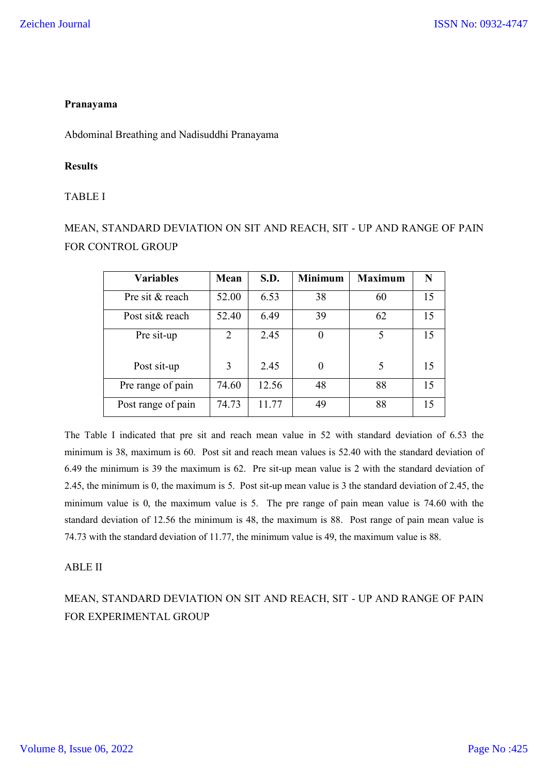## **Pranayama**

Abdominal Breathing and Nadisuddhi Pranayama

## **Results**

## TABLE I

MEAN, STANDARD DEVIATION ON SIT AND REACH, SIT - UP AND RANGE OF PAIN FOR CONTROL GROUP

| <b>Variables</b>   | Mean                        | S.D.  | <b>Minimum</b> | <b>Maximum</b> | N  |
|--------------------|-----------------------------|-------|----------------|----------------|----|
| Pre sit & reach    | 52.00                       | 6.53  | 38             | 60             | 15 |
| Post sit& reach    | 52.40                       | 6.49  | 39             | 62             | 15 |
| Pre sit-up         | $\mathcal{D}_{\mathcal{L}}$ | 2.45  | $\overline{0}$ | 5              | 15 |
| Post sit-up        | 3                           | 2.45  | $\theta$       | 5              | 15 |
| Pre range of pain  | 74.60                       | 12.56 | 48             | 88             | 15 |
| Post range of pain | 74.73                       | 11.77 | 49             | 88             | 15 |

The Table I indicated that pre sit and reach mean value in 52 with standard deviation of 6.53 the minimum is 38, maximum is 60. Post sit and reach mean values is 52.40 with the standard deviation of 6.49 the minimum is 39 the maximum is 62. Pre sit-up mean value is 2 with the standard deviation of 2.45, the minimum is 0, the maximum is 5. Post sit-up mean value is 3 the standard deviation of 2.45, the minimum value is 0, the maximum value is 5. The pre range of pain mean value is 74.60 with the standard deviation of 12.56 the minimum is 48, the maximum is 88. Post range of pain mean value is 74.73 with the standard deviation of 11.77, the minimum value is 49, the maximum value is 88.

### ABLE II

MEAN, STANDARD DEVIATION ON SIT AND REACH, SIT - UP AND RANGE OF PAIN FOR EXPERIMENTAL GROUP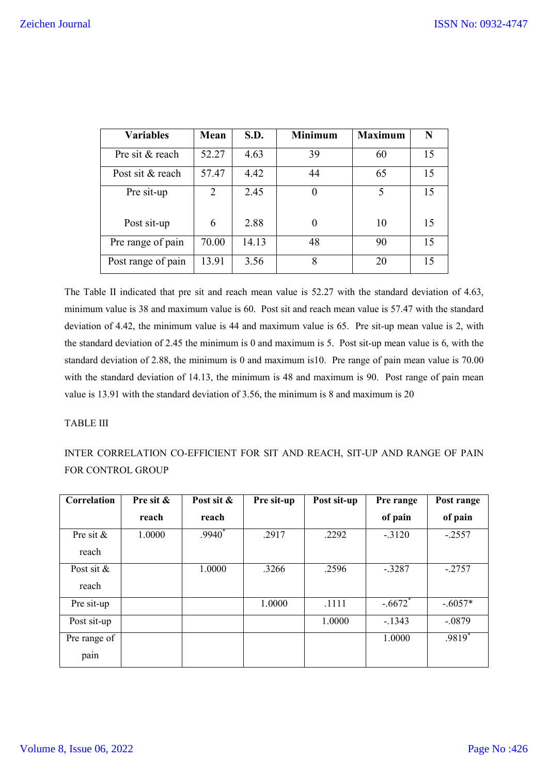| <b>Variables</b>   | Mean           | S.D.  | <b>Minimum</b> | <b>Maximum</b> | N  |
|--------------------|----------------|-------|----------------|----------------|----|
| Pre sit & reach    | 52.27          | 4.63  | 39             | 60             | 15 |
| Post sit & reach   | 57.47          | 4.42  | 44             | 65             | 15 |
| Pre sit-up         | $\overline{2}$ | 2.45  | 0              | 5              | 15 |
| Post sit-up        | 6              | 2.88  | $\theta$       | 10             | 15 |
| Pre range of pain  | 70.00          | 14.13 | 48             | 90             | 15 |
| Post range of pain | 13.91          | 3.56  | 8              | 20             | 15 |

The Table II indicated that pre sit and reach mean value is 52.27 with the standard deviation of 4.63, minimum value is 38 and maximum value is 60. Post sit and reach mean value is 57.47 with the standard deviation of 4.42, the minimum value is 44 and maximum value is 65. Pre sit-up mean value is 2, with the standard deviation of 2.45 the minimum is 0 and maximum is 5. Post sit-up mean value is 6, with the standard deviation of 2.88, the minimum is 0 and maximum is10. Pre range of pain mean value is 70.00 with the standard deviation of 14.13, the minimum is 48 and maximum is 90. Post range of pain mean value is 13.91 with the standard deviation of 3.56, the minimum is 8 and maximum is 20

### TABLE III

INTER CORRELATION CO-EFFICIENT FOR SIT AND REACH, SIT-UP AND RANGE OF PAIN FOR CONTROL GROUP

| Correlation           | Pre sit & | Post sit & | Pre sit-up | Post sit-up | Pre range             | Post range |
|-----------------------|-----------|------------|------------|-------------|-----------------------|------------|
|                       | reach     | reach      |            |             | of pain               | of pain    |
| Pre sit &<br>reach    | 1.0000    | $.9940^*$  | .2917      | .2292       | $-.3120$              | $-.2557$   |
| Post sit $&$<br>reach |           | 1.0000     | .3266      | .2596       | $-.3287$              | $-.2757$   |
| Pre sit-up            |           |            | 1.0000     | .1111       | $-.6672$ <sup>*</sup> | $-.6057*$  |
| Post sit-up           |           |            |            | 1.0000      | $-1343$               | $-.0879$   |
| Pre range of<br>pain  |           |            |            |             | 1.0000                | $.9819*$   |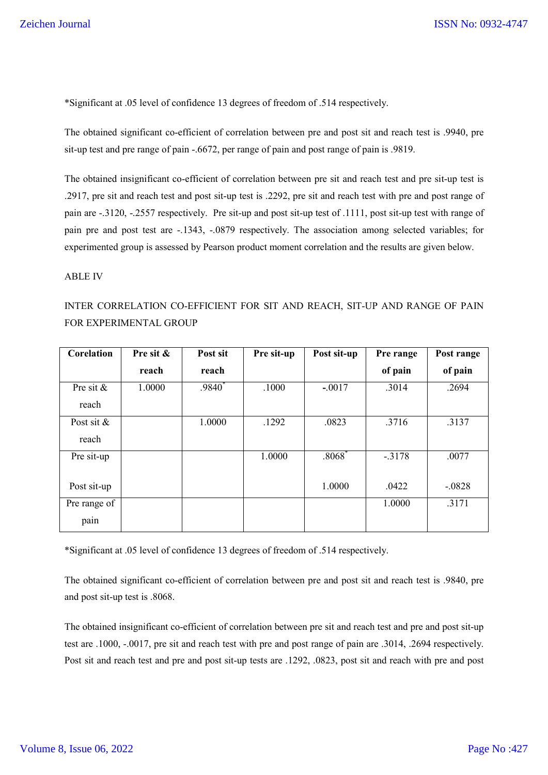\*Significant at .05 level of confidence 13 degrees of freedom of .514 respectively.

The obtained significant co-efficient of correlation between pre and post sit and reach test is .9940, pre sit-up test and pre range of pain -.6672, per range of pain and post range of pain is .9819.

The obtained insignificant co-efficient of correlation between pre sit and reach test and pre sit-up test is .2917, pre sit and reach test and post sit-up test is .2292, pre sit and reach test with pre and post range of pain are -.3120, -.2557 respectively. Pre sit-up and post sit-up test of .1111, post sit-up test with range of pain pre and post test are -.1343, -.0879 respectively. The association among selected variables; for experimented group is assessed by Pearson product moment correlation and the results are given below.

#### ABLE IV

# INTER CORRELATION CO-EFFICIENT FOR SIT AND REACH, SIT-UP AND RANGE OF PAIN FOR EXPERIMENTAL GROUP

| Corelation   | Pre sit & | Post sit | Pre sit-up | Post sit-up | Pre range | Post range |
|--------------|-----------|----------|------------|-------------|-----------|------------|
|              | reach     | reach    |            |             | of pain   | of pain    |
| Pre sit $&$  | 1.0000    | $.9840*$ | .1000      | $-.0017$    | .3014     | .2694      |
| reach        |           |          |            |             |           |            |
| Post sit $&$ |           | 1.0000   | .1292      | .0823       | .3716     | .3137      |
| reach        |           |          |            |             |           |            |
| Pre sit-up   |           |          | 1.0000     | $.8068*$    | $-.3178$  | .0077      |
|              |           |          |            |             |           |            |
| Post sit-up  |           |          |            | 1.0000      | .0422     | $-.0828$   |
| Pre range of |           |          |            |             | 1.0000    | .3171      |
| pain         |           |          |            |             |           |            |

\*Significant at .05 level of confidence 13 degrees of freedom of .514 respectively.

The obtained significant co-efficient of correlation between pre and post sit and reach test is .9840, pre and post sit-up test is .8068.

The obtained insignificant co-efficient of correlation between pre sit and reach test and pre and post sit-up test are .1000, -.0017, pre sit and reach test with pre and post range of pain are .3014, .2694 respectively. Post sit and reach test and pre and post sit-up tests are .1292, .0823, post sit and reach with pre and post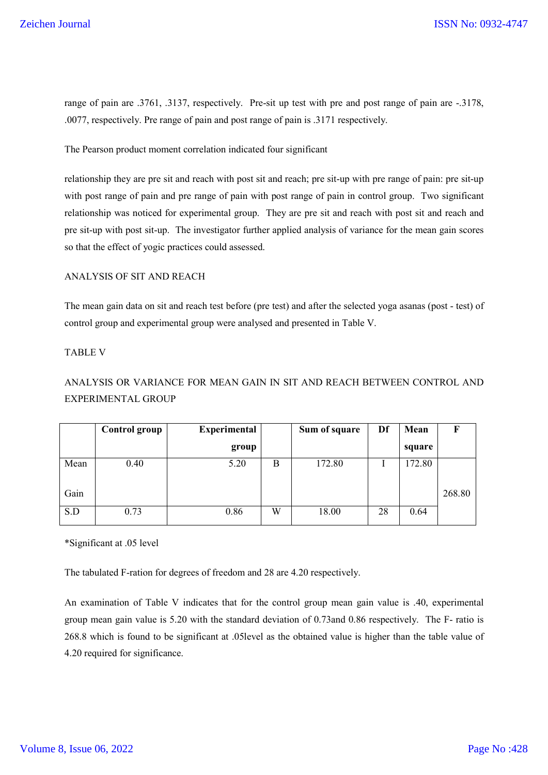range of pain are .3761, .3137, respectively. Pre-sit up test with pre and post range of pain are -.3178, .0077, respectively. Pre range of pain and post range of pain is .3171 respectively.

The Pearson product moment correlation indicated four significant

relationship they are pre sit and reach with post sit and reach; pre sit-up with pre range of pain: pre sit-up with post range of pain and pre range of pain with post range of pain in control group. Two significant relationship was noticed for experimental group. They are pre sit and reach with post sit and reach and pre sit-up with post sit-up. The investigator further applied analysis of variance for the mean gain scores so that the effect of yogic practices could assessed.

### ANALYSIS OF SIT AND REACH

The mean gain data on sit and reach test before (pre test) and after the selected yoga asanas (post - test) of control group and experimental group were analysed and presented in Table V.

#### TABLE V

# ANALYSIS OR VARIANCE FOR MEAN GAIN IN SIT AND REACH BETWEEN CONTROL AND EXPERIMENTAL GROUP

|      | <b>Control group</b> | <b>Experimental</b> |   | Sum of square | Df | Mean   |        |
|------|----------------------|---------------------|---|---------------|----|--------|--------|
|      |                      | group               |   |               |    | square |        |
| Mean | 0.40                 | 5.20                | В | 172.80        |    | 172.80 |        |
| Gain |                      |                     |   |               |    |        | 268.80 |
| S.D  | 0.73                 | 0.86                | W | 18.00         | 28 | 0.64   |        |

\*Significant at .05 level

The tabulated F-ration for degrees of freedom and 28 are 4.20 respectively.

An examination of Table V indicates that for the control group mean gain value is .40, experimental group mean gain value is 5.20 with the standard deviation of 0.73and 0.86 respectively. The F- ratio is 268.8 which is found to be significant at .05level as the obtained value is higher than the table value of 4.20 required for significance.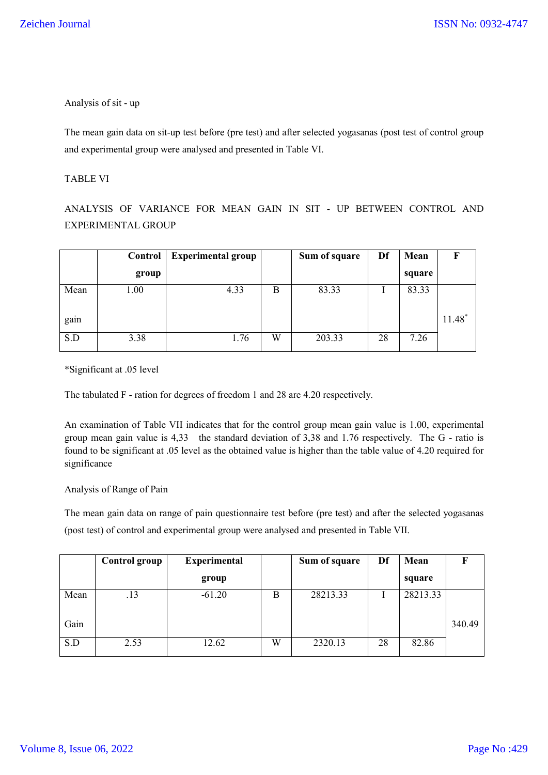Analysis of sit - up

The mean gain data on sit-up test before (pre test) and after selected yogasanas (post test of control group and experimental group were analysed and presented in Table VI.

## TABLE VI

ANALYSIS OF VARIANCE FOR MEAN GAIN IN SIT - UP BETWEEN CONTROL AND EXPERIMENTAL GROUP

|      | Control | <b>Experimental group</b> |   | Sum of square | Df | Mean   |          |
|------|---------|---------------------------|---|---------------|----|--------|----------|
|      | group   |                           |   |               |    | square |          |
| Mean | 1.00    | 4.33                      | B | 83.33         |    | 83.33  |          |
| gain |         |                           |   |               |    |        | $11.48*$ |
| S.D  | 3.38    | 1.76                      | W | 203.33        | 28 | 7.26   |          |

\*Significant at .05 level

The tabulated F - ration for degrees of freedom 1 and 28 are 4.20 respectively.

An examination of Table VII indicates that for the control group mean gain value is 1.00, experimental group mean gain value is 4,33 the standard deviation of 3,38 and 1.76 respectively. The G - ratio is found to be significant at .05 level as the obtained value is higher than the table value of 4.20 required for significance

### Analysis of Range of Pain

The mean gain data on range of pain questionnaire test before (pre test) and after the selected yogasanas (post test) of control and experimental group were analysed and presented in Table VII.

|      | Control group | <b>Experimental</b> |   | Sum of square | Df | Mean     |        |
|------|---------------|---------------------|---|---------------|----|----------|--------|
|      |               | group               |   |               |    | square   |        |
| Mean | .13           | $-61.20$            | В | 28213.33      |    | 28213.33 |        |
| Gain |               |                     |   |               |    |          | 340.49 |
| S.D  | 2.53          | 12.62               | W | 2320.13       | 28 | 82.86    |        |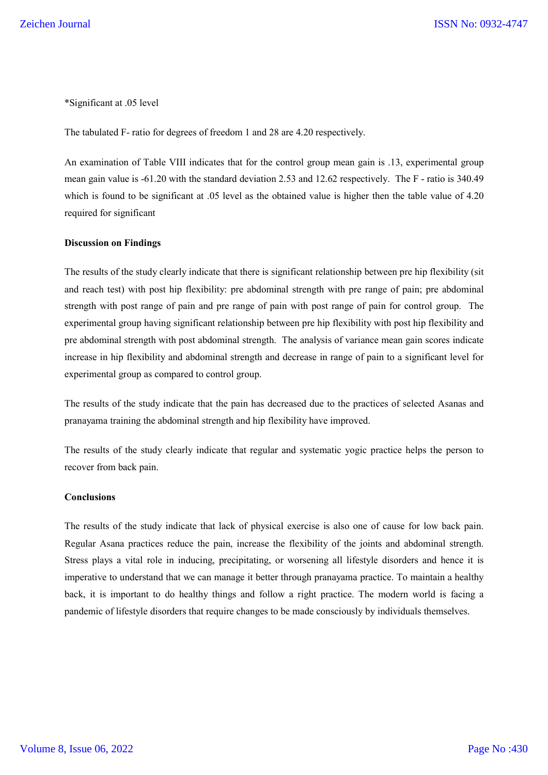\*Significant at .05 level

The tabulated F- ratio for degrees of freedom 1 and 28 are 4.20 respectively.

An examination of Table VIII indicates that for the control group mean gain is .13, experimental group mean gain value is -61.20 with the standard deviation 2.53 and 12.62 respectively. The F - ratio is 340.49 which is found to be significant at .05 level as the obtained value is higher then the table value of 4.20 required for significant

#### **Discussion on Findings**

The results of the study clearly indicate that there is significant relationship between pre hip flexibility (sit and reach test) with post hip flexibility: pre abdominal strength with pre range of pain; pre abdominal strength with post range of pain and pre range of pain with post range of pain for control group. The experimental group having significant relationship between pre hip flexibility with post hip flexibility and pre abdominal strength with post abdominal strength. The analysis of variance mean gain scores indicate increase in hip flexibility and abdominal strength and decrease in range of pain to a significant level for experimental group as compared to control group.

The results of the study indicate that the pain has decreased due to the practices of selected Asanas and pranayama training the abdominal strength and hip flexibility have improved.

The results of the study clearly indicate that regular and systematic yogic practice helps the person to recover from back pain.

#### **Conclusions**

The results of the study indicate that lack of physical exercise is also one of cause for low back pain. Regular Asana practices reduce the pain, increase the flexibility of the joints and abdominal strength. Stress plays a vital role in inducing, precipitating, or worsening all lifestyle disorders and hence it is imperative to understand that we can manage it better through pranayama practice. To maintain a healthy back, it is important to do healthy things and follow a right practice. The modern world is facing a pandemic of lifestyle disorders that require changes to be made consciously by individuals themselves.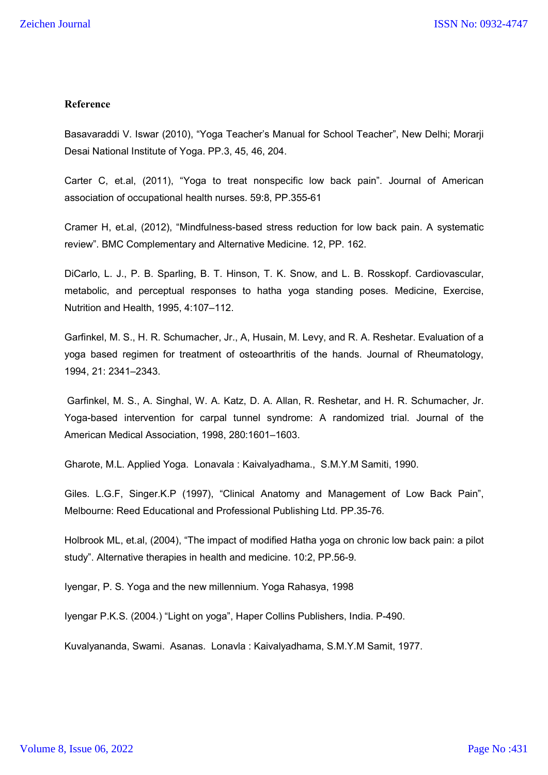## **Reference**

Basavaraddi V. Iswar (2010), "Yoga Teacher's Manual for School Teacher", New Delhi; Morarji Desai National Institute of Yoga. PP.3, 45, 46, 204.

Carter C, et.al, (2011), "Yoga to treat nonspecific low back pain". Journal of American association of occupational health nurses. 59:8, PP.355-61

Cramer H, et.al, (2012), "Mindfulness-based stress reduction for low back pain. A systematic review". BMC Complementary and Alternative Medicine. 12, PP. 162.

DiCarlo, L. J., P. B. Sparling, B. T. Hinson, T. K. Snow, and L. B. Rosskopf. Cardiovascular, metabolic, and perceptual responses to hatha yoga standing poses. Medicine, Exercise, Nutrition and Health, 1995, 4:107–112.

Garfinkel, M. S., H. R. Schumacher, Jr., A, Husain, M. Levy, and R. A. Reshetar. Evaluation of a yoga based regimen for treatment of osteoarthritis of the hands. Journal of Rheumatology, 1994, 21: 2341–2343.

Garfinkel, M. S., A. Singhal, W. A. Katz, D. A. Allan, R. Reshetar, and H. R. Schumacher, Jr. Yoga-based intervention for carpal tunnel syndrome: A randomized trial. Journal of the American Medical Association, 1998, 280:1601–1603.

Gharote, M.L. Applied Yoga. Lonavala : Kaivalyadhama., S.M.Y.M Samiti, 1990.

Giles. L.G.F, Singer.K.P (1997), "Clinical Anatomy and Management of Low Back Pain", Melbourne: Reed Educational and Professional Publishing Ltd. PP.35-76.

Holbrook ML, et.al, (2004), "The impact of modified Hatha yoga on chronic low back pain: a pilot study". Alternative therapies in health and medicine. 10:2, PP.56-9.

Iyengar, P. S. Yoga and the new millennium. Yoga Rahasya, 1998

Iyengar P.K.S. (2004.) "Light on yoga", Haper Collins Publishers, India. P-490.

Kuvalyananda, Swami. Asanas. Lonavla : Kaivalyadhama, S.M.Y.M Samit, 1977.